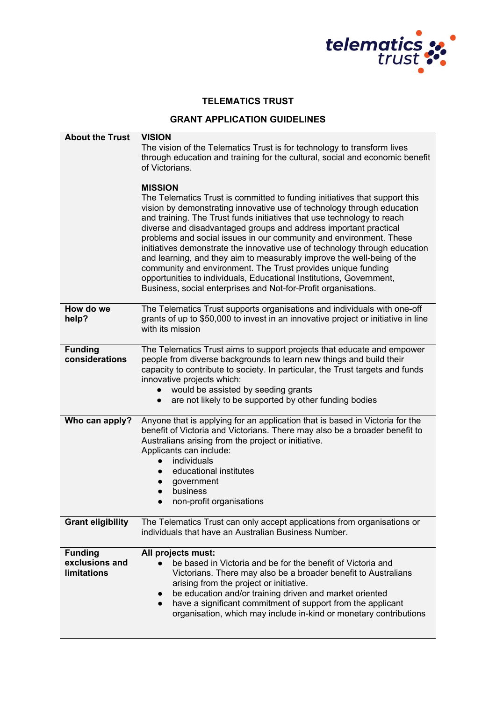

## **TELEMATICS TRUST**

## **GRANT APPLICATION GUIDELINES**

| <b>About the Trust</b>                                 | <b>VISION</b><br>The vision of the Telematics Trust is for technology to transform lives<br>through education and training for the cultural, social and economic benefit<br>of Victorians.<br><b>MISSION</b><br>The Telematics Trust is committed to funding initiatives that support this<br>vision by demonstrating innovative use of technology through education<br>and training. The Trust funds initiatives that use technology to reach<br>diverse and disadvantaged groups and address important practical<br>problems and social issues in our community and environment. These<br>initiatives demonstrate the innovative use of technology through education<br>and learning, and they aim to measurably improve the well-being of the<br>community and environment. The Trust provides unique funding<br>opportunities to individuals, Educational Institutions, Government,<br>Business, social enterprises and Not-for-Profit organisations. |
|--------------------------------------------------------|-----------------------------------------------------------------------------------------------------------------------------------------------------------------------------------------------------------------------------------------------------------------------------------------------------------------------------------------------------------------------------------------------------------------------------------------------------------------------------------------------------------------------------------------------------------------------------------------------------------------------------------------------------------------------------------------------------------------------------------------------------------------------------------------------------------------------------------------------------------------------------------------------------------------------------------------------------------|
| How do we<br>help?                                     | The Telematics Trust supports organisations and individuals with one-off<br>grants of up to \$50,000 to invest in an innovative project or initiative in line<br>with its mission                                                                                                                                                                                                                                                                                                                                                                                                                                                                                                                                                                                                                                                                                                                                                                         |
| <b>Funding</b><br>considerations                       | The Telematics Trust aims to support projects that educate and empower<br>people from diverse backgrounds to learn new things and build their<br>capacity to contribute to society. In particular, the Trust targets and funds<br>innovative projects which:<br>would be assisted by seeding grants<br>are not likely to be supported by other funding bodies<br>$\bullet$                                                                                                                                                                                                                                                                                                                                                                                                                                                                                                                                                                                |
| Who can apply?                                         | Anyone that is applying for an application that is based in Victoria for the<br>benefit of Victoria and Victorians. There may also be a broader benefit to<br>Australians arising from the project or initiative.<br>Applicants can include:<br>individuals<br>educational institutes<br>government<br>business<br>non-profit organisations<br>$\bullet$                                                                                                                                                                                                                                                                                                                                                                                                                                                                                                                                                                                                  |
| <b>Grant eligibility</b>                               | The Telematics Trust can only accept applications from organisations or<br>individuals that have an Australian Business Number.                                                                                                                                                                                                                                                                                                                                                                                                                                                                                                                                                                                                                                                                                                                                                                                                                           |
| <b>Funding</b><br>exclusions and<br><b>limitations</b> | All projects must:<br>be based in Victoria and be for the benefit of Victoria and<br>Victorians. There may also be a broader benefit to Australians<br>arising from the project or initiative.<br>be education and/or training driven and market oriented<br>have a significant commitment of support from the applicant<br>$\bullet$<br>organisation, which may include in-kind or monetary contributions                                                                                                                                                                                                                                                                                                                                                                                                                                                                                                                                                |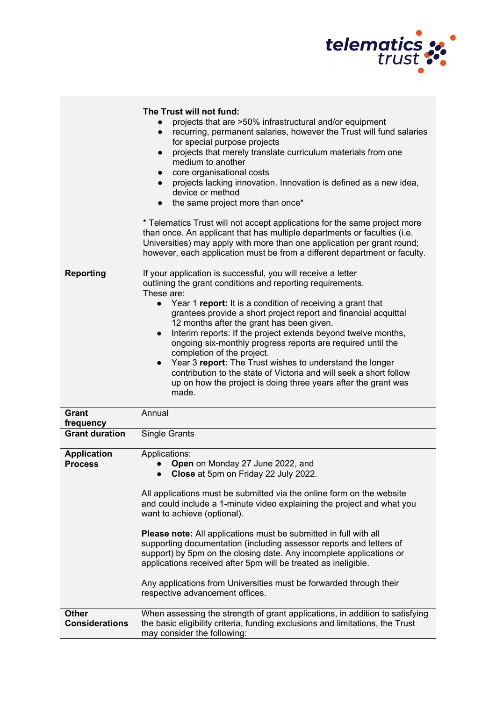

|                                       | The Trust will not fund:<br>projects that are >50% infrastructural and/or equipment<br>recurring, permanent salaries, however the Trust will fund salaries<br>$\bullet$<br>for special purpose projects<br>projects that merely translate curriculum materials from one<br>$\bullet$<br>medium to another<br>core organisational costs<br>$\bullet$<br>projects lacking innovation. Innovation is defined as a new idea,<br>$\bullet$<br>device or method<br>the same project more than once*<br>* Telematics Trust will not accept applications for the same project more<br>than once. An applicant that has multiple departments or faculties (i.e.<br>Universities) may apply with more than one application per grant round;<br>however, each application must be from a different department or faculty. |
|---------------------------------------|----------------------------------------------------------------------------------------------------------------------------------------------------------------------------------------------------------------------------------------------------------------------------------------------------------------------------------------------------------------------------------------------------------------------------------------------------------------------------------------------------------------------------------------------------------------------------------------------------------------------------------------------------------------------------------------------------------------------------------------------------------------------------------------------------------------|
| <b>Reporting</b>                      | If your application is successful, you will receive a letter<br>outlining the grant conditions and reporting requirements.<br>These are:<br>Year 1 report: It is a condition of receiving a grant that<br>$\bullet$<br>grantees provide a short project report and financial acquittal<br>12 months after the grant has been given.<br>Interim reports: If the project extends beyond twelve months,<br>$\bullet$<br>ongoing six-monthly progress reports are required until the<br>completion of the project.<br>Year 3 report: The Trust wishes to understand the longer<br>$\bullet$<br>contribution to the state of Victoria and will seek a short follow<br>up on how the project is doing three years after the grant was<br>made.                                                                       |
| <b>Grant</b><br>frequency             | Annual                                                                                                                                                                                                                                                                                                                                                                                                                                                                                                                                                                                                                                                                                                                                                                                                         |
| <b>Grant duration</b>                 | Single Grants                                                                                                                                                                                                                                                                                                                                                                                                                                                                                                                                                                                                                                                                                                                                                                                                  |
| <b>Application</b><br><b>Process</b>  | Applications:<br>Open on Monday 27 June 2022, and<br>Close at 5pm on Friday 22 July 2022.<br>All applications must be submitted via the online form on the website<br>and could include a 1-minute video explaining the project and what you<br>want to achieve (optional).<br>Please note: All applications must be submitted in full with all<br>supporting documentation (including assessor reports and letters of<br>support) by 5pm on the closing date. Any incomplete applications or<br>applications received after 5pm will be treated as ineligible.<br>Any applications from Universities must be forwarded through their<br>respective advancement offices.                                                                                                                                       |
| <b>Other</b><br><b>Considerations</b> | When assessing the strength of grant applications, in addition to satisfying<br>the basic eligibility criteria, funding exclusions and limitations, the Trust<br>may consider the following:                                                                                                                                                                                                                                                                                                                                                                                                                                                                                                                                                                                                                   |